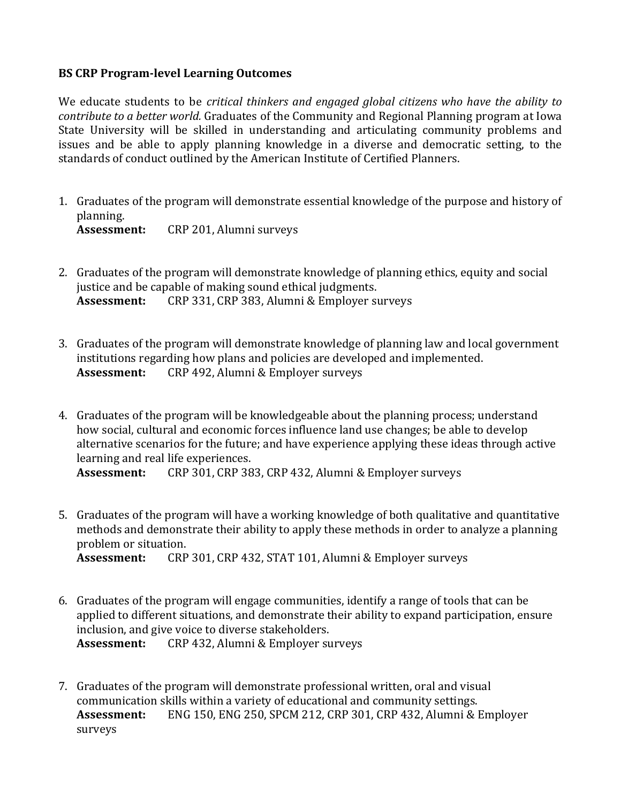## **BS CRP Program-level Learning Outcomes**

We educate students to be *critical thinkers and engaged global citizens* who have the ability to *contribute to a better world.* Graduates of the Community and Regional Planning program at Iowa State University will be skilled in understanding and articulating community problems and issues and be able to apply planning knowledge in a diverse and democratic setting, to the standards of conduct outlined by the American Institute of Certified Planners.

- 1. Graduates of the program will demonstrate essential knowledge of the purpose and history of planning. **Assessment:** CRP 201, Alumni surveys
- 2. Graduates of the program will demonstrate knowledge of planning ethics, equity and social justice and be capable of making sound ethical judgments. Assessment: CRP 331, CRP 383, Alumni & Employer surveys
- 3. Graduates of the program will demonstrate knowledge of planning law and local government institutions regarding how plans and policies are developed and implemented. Assessment: CRP 492, Alumni & Employer surveys
- 4. Graduates of the program will be knowledgeable about the planning process; understand how social, cultural and economic forces influence land use changes; be able to develop alternative scenarios for the future; and have experience applying these ideas through active learning and real life experiences.

Assessment: CRP 301, CRP 383, CRP 432, Alumni & Employer surveys

5. Graduates of the program will have a working knowledge of both qualitative and quantitative methods and demonstrate their ability to apply these methods in order to analyze a planning problem or situation.

Assessment: CRP 301, CRP 432, STAT 101, Alumni & Employer surveys

- 6. Graduates of the program will engage communities, identify a range of tools that can be applied to different situations, and demonstrate their ability to expand participation, ensure inclusion, and give voice to diverse stakeholders. Assessment: CRP 432, Alumni & Employer surveys
- 7. Graduates of the program will demonstrate professional written, oral and visual communication skills within a variety of educational and community settings. Assessment: ENG 150, ENG 250, SPCM 212, CRP 301, CRP 432, Alumni & Employer surveys